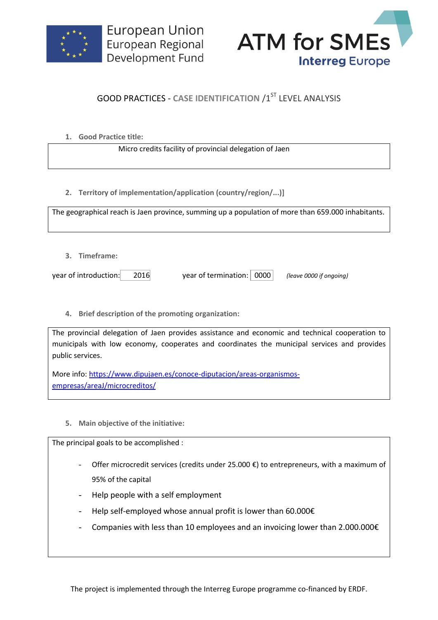



## **GOOD PRACTICES - CASE IDENTIFICATION /1ST LEVEL ANALYSIS**

**1. Good Practice title:**

Micro credits facility of provincial delegation of Jaen

**2. Territory of implementation/application (country/region/...)]**

The geographical reach is Jaen province, summing up a population of more than 659.000 inhabitants.

**3. Timeframe:**

year of introduction: 2016 year of termination: 0000 *(leave 0000 if ongoing)*

**4. Brief description of the promoting organization:**

The provincial delegation of Jaen provides assistance and economic and technical cooperation to municipals with low economy, cooperates and coordinates the municipal services and provides public services.

More info: [https://www.dipujaen.es/conoce-diputacion/areas-organismos](https://www.dipujaen.es/conoce-diputacion/areas-organismos-empresas/areaJ/microcreditos/)[empresas/areaJ/microcreditos/](https://www.dipujaen.es/conoce-diputacion/areas-organismos-empresas/areaJ/microcreditos/)

**5. Main objective of the initiative:**

The principal goals to be accomplished :

- Offer microcredit services (credits under 25.000  $\epsilon$ ) to entrepreneurs, with a maximum of 95% of the capital
- Help people with a self employment
- Help self-employed whose annual profit is lower than 60.000€
- Companies with less than 10 employees and an invoicing lower than 2.000.000 $\epsilon$